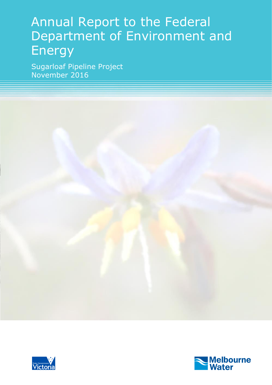# Annual Report to the Federal Department of Environment and **Energy**

Sugarloaf Pipeline Project November 2016



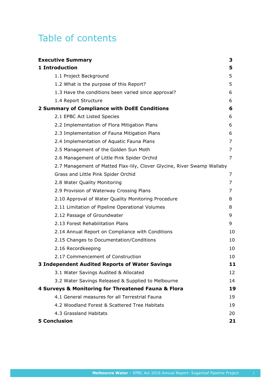## Table of contents

| <b>Executive Summary</b>                                                | 3  |
|-------------------------------------------------------------------------|----|
| 1 Introduction                                                          | 5  |
| 1.1 Project Background                                                  | 5  |
| 1.2 What is the purpose of this Report?                                 | 5  |
| 1.3 Have the conditions been varied since approval?                     | 6  |
| 1.4 Report Structure                                                    | 6  |
| 2 Summary of Compliance with DoEE Conditions                            | 6  |
| 2.1 EPBC Act Listed Species                                             | 6  |
| 2.2 Implementation of Flora Mitigation Plans                            | 6  |
| 2.3 Implementation of Fauna Mitigation Plans                            | 6  |
| 2.4 Implementation of Aquatic Fauna Plans                               | 7  |
| 2.5 Management of the Golden Sun Moth                                   | 7  |
| 2.6 Management of Little Pink Spider Orchid                             | 7  |
| 2.7 Management of Matted Flax-lily, Clover Glycine, River Swamp Wallaby |    |
| Grass and Little Pink Spider Orchid                                     | 7  |
| 2.8 Water Quality Monitoring                                            | 7  |
| 2.9 Provision of Waterway Crossing Plans                                | 7  |
| 2.10 Approval of Water Quality Monitoring Procedure                     | 8  |
| 2.11 Limitation of Pipeline Operational Volumes                         | 8  |
| 2.12 Passage of Groundwater                                             | 9  |
| 2.13 Forest Rehabilitation Plans                                        | 9  |
| 2.14 Annual Report on Compliance with Conditions                        | 10 |
| 2.15 Changes to Documentation/Conditions                                | 10 |
| 2.16 Recordkeeping                                                      | 10 |
| 2.17 Commencement of Construction                                       | 10 |
| <b>3 Independent Audited Reports of Water Savings</b>                   | 11 |
| 3.1 Water Savings Audited & Allocated                                   | 12 |
| 3.2 Water Savings Released & Supplied to Melbourne                      | 14 |
| 4 Surveys & Monitoring for Threatened Fauna & Flora                     | 19 |
| 4.1 General measures for all Terrestrial Fauna                          | 19 |
| 4.2 Woodland Forest & Scattered Tree Habitats                           | 19 |
| 4.3 Grassland Habitats                                                  | 20 |
| <b>5 Conclusion</b>                                                     | 21 |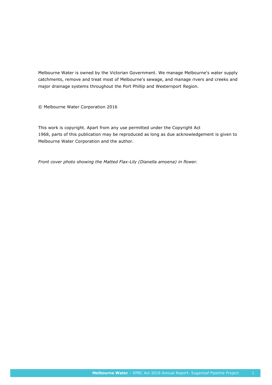Melbourne Water is owned by the Victorian Government. We manage Melbourne's water supply catchments, remove and treat most of Melbourne's sewage, and manage rivers and creeks and major drainage systems throughout the Port Phillip and Westernport Region.

© Melbourne Water Corporation 2016

This work is copyright. Apart from any use permitted under the Copyright Act 1968, parts of this publication may be reproduced as long as due acknowledgement is given to Melbourne Water Corporation and the author.

*Front cover photo showing the Matted Flax-Lily (Dianella amoena) in flower.*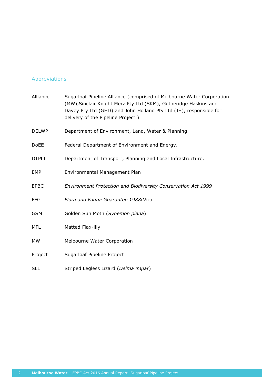#### Abbreviations

| Alliance     | Sugarloaf Pipeline Alliance (comprised of Melbourne Water Corporation<br>(MW), Sinclair Knight Merz Pty Ltd (SKM), Gutheridge Haskins and<br>Davey Pty Ltd (GHD) and John Holland Pty Ltd (JH), responsible for<br>delivery of the Pipeline Project.) |
|--------------|-------------------------------------------------------------------------------------------------------------------------------------------------------------------------------------------------------------------------------------------------------|
| <b>DELWP</b> | Department of Environment, Land, Water & Planning                                                                                                                                                                                                     |
| <b>DoEE</b>  | Federal Department of Environment and Energy.                                                                                                                                                                                                         |
| <b>DTPLI</b> | Department of Transport, Planning and Local Infrastructure.                                                                                                                                                                                           |
| <b>EMP</b>   | Environmental Management Plan                                                                                                                                                                                                                         |
| <b>EPBC</b>  | Environment Protection and Biodiversity Conservation Act 1999                                                                                                                                                                                         |
| <b>FFG</b>   | Flora and Fauna Guarantee 1988(Vic)                                                                                                                                                                                                                   |
| <b>GSM</b>   | Golden Sun Moth (Synemon plana)                                                                                                                                                                                                                       |
| <b>MFL</b>   | Matted Flax-lily                                                                                                                                                                                                                                      |
| <b>MW</b>    | Melbourne Water Corporation                                                                                                                                                                                                                           |
| Project      | Sugarloaf Pipeline Project                                                                                                                                                                                                                            |
| <b>SLL</b>   | Striped Legless Lizard (Delma impar)                                                                                                                                                                                                                  |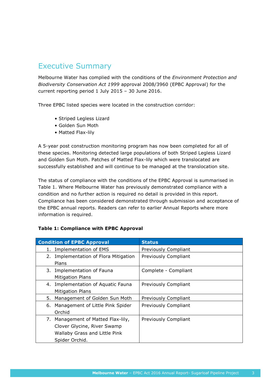## Executive Summary

Melbourne Water has complied with the conditions of the *Environment Protection and Biodiversity Conservation Act 1999* approval 2008/3960 (EPBC Approval) for the current reporting period 1 July 2015 – 30 June 2016.

Three EPBC listed species were located in the construction corridor:

- Striped Legless Lizard
- Golden Sun Moth
- Matted Flax-lily

A 5-year post construction monitoring program has now been completed for all of these species. Monitoring detected large populations of both Striped Legless Lizard and Golden Sun Moth. Patches of Matted Flax-lily which were translocated are successfully established and will continue to be managed at the translocation site.

The status of compliance with the conditions of the EPBC Approval is summarised in Table 1. Where Melbourne Water has previously demonstrated compliance with a condition and no further action is required no detail is provided in this report. Compliance has been considered demonstrated through submission and acceptance of the EPBC annual reports. Readers can refer to earlier Annual Reports where more information is required.

#### **Table 1: Compliance with EPBC Approval**

| <b>Condition of EPBC Approval</b>                                                                                    | <b>Status</b>        |
|----------------------------------------------------------------------------------------------------------------------|----------------------|
| Implementation of EMS<br>1.                                                                                          | Previously Compliant |
| 2. Implementation of Flora Mitigation<br>Plans                                                                       | Previously Compliant |
| 3. Implementation of Fauna<br><b>Mitigation Plans</b>                                                                | Complete - Compliant |
| 4. Implementation of Aquatic Fauna<br><b>Mitigation Plans</b>                                                        | Previously Compliant |
| Management of Golden Sun Moth<br>5.                                                                                  | Previously Compliant |
| 6. Management of Little Pink Spider<br>Orchid                                                                        | Previously Compliant |
| 7. Management of Matted Flax-lily,<br>Clover Glycine, River Swamp<br>Wallaby Grass and Little Pink<br>Spider Orchid. | Previously Compliant |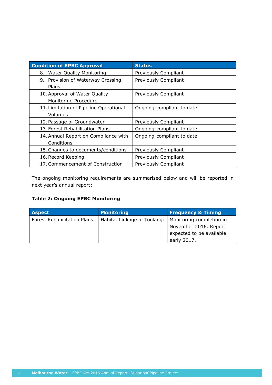| <b>Condition of EPBC Approval</b>      | <b>Status</b>               |
|----------------------------------------|-----------------------------|
| 8. Water Quality Monitoring            | Previously Compliant        |
| 9. Provision of Waterway Crossing      | Previously Compliant        |
| Plans                                  |                             |
| 10. Approval of Water Quality          | Previously Compliant        |
| Monitoring Procedure                   |                             |
| 11. Limitation of Pipeline Operational | Ongoing-compliant to date   |
| Volumes                                |                             |
| 12. Passage of Groundwater             | Previously Compliant        |
| 13. Forest Rehabilitation Plans        | Ongoing-compliant to date   |
| 14. Annual Report on Compliance with   | Ongoing-compliant to date   |
| Conditions                             |                             |
| 15. Changes to documents/conditions    | Previously Compliant        |
| 16. Record Keeping                     | Previously Compliant        |
| 17. Commencement of Construction       | <b>Previously Compliant</b> |

The ongoing monitoring requirements are summarised below and will be reported in next year's annual report:

#### **Table 2: Ongoing EPBC Monitoring**

| <b>Aspect</b>                      | <b>Monitoring</b>           | <b>Frequency &amp; Timing</b> |
|------------------------------------|-----------------------------|-------------------------------|
| <b>Forest Rehabilitation Plans</b> | Habitat Linkage in Toolangi | Monitoring completion in      |
|                                    |                             | November 2016. Report         |
|                                    |                             | expected to be available      |
|                                    |                             | early 2017.                   |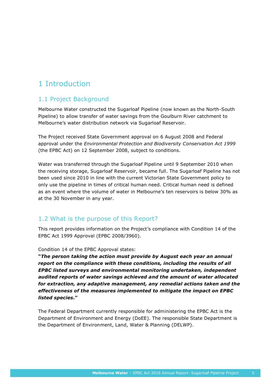## 1 Introduction

#### 1.1 Project Background

Melbourne Water constructed the Sugarloaf Pipeline (now known as the North-South Pipeline) to allow transfer of water savings from the Goulburn River catchment to Melbourne's water distribution network via Sugarloaf Reservoir.

The Project received State Government approval on 6 August 2008 and Federal approval under the *Environmental Protection and Biodiversity Conservation Act 1999* (the EPBC Act) on 12 September 2008, subject to conditions.

Water was transferred through the Sugarloaf Pipeline until 9 September 2010 when the receiving storage, Sugarloaf Reservoir, became full. The Sugarloaf Pipeline has not been used since 2010 in line with the current Victorian State Government policy to only use the pipeline in times of critical human need. Critical human need is defined as an event where the volume of water in Melbourne's ten reservoirs is below 30% as at the 30 November in any year.

#### 1.2 What is the purpose of this Report?

This report provides information on the Project's compliance with Condition 14 of the EPBC Act 1999 Approval (EPBC 2008/3960).

Condition 14 of the EPBC Approval states:

**"***The person taking the action must provide by August each year an annual report on the compliance with these conditions, including the results of all EPBC listed surveys and environmental monitoring undertaken, independent audited reports of water savings achieved and the amount of water allocated for extraction, any adaptive management, any remedial actions taken and the effectiveness of the measures implemented to mitigate the impact on EPBC listed species***."**

The Federal Department currently responsible for administering the EPBC Act is the Department of Environment and Energy (DoEE). The responsible State Department is the Department of Environment, Land, Water & Planning (DELWP).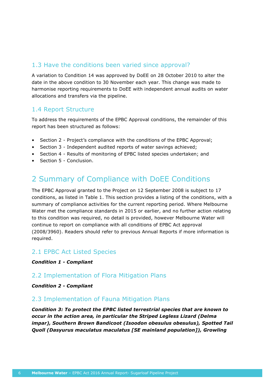#### 1.3 Have the conditions been varied since approval?

A variation to Condition 14 was approved by DoEE on 28 October 2010 to alter the date in the above condition to 30 November each year. This change was made to harmonise reporting requirements to DoEE with independent annual audits on water allocations and transfers via the pipeline.

#### 1.4 Report Structure

To address the requirements of the EPBC Approval conditions, the remainder of this report has been structured as follows:

- Section 2 Project's compliance with the conditions of the EPBC Approval;
- Section 3 Independent audited reports of water savings achieved;
- Section 4 Results of monitoring of EPBC listed species undertaken; and
- Section 5 Conclusion.

### 2 Summary of Compliance with DoEE Conditions

The EPBC Approval granted to the Project on 12 September 2008 is subject to 17 conditions, as listed in Table 1. This section provides a listing of the conditions, with a summary of compliance activities for the current reporting period. Where Melbourne Water met the compliance standards in 2015 or earlier, and no further action relating to this condition was required, no detail is provided, however Melbourne Water will continue to report on compliance with all conditions of EPBC Act approval (2008/3960). Readers should refer to previous Annual Reports if more information is required.

#### 2.1 EPBC Act Listed Species

*Condition 1 - Compliant*

#### 2.2 Implementation of Flora Mitigation Plans

*Condition 2 - Compliant*

#### 2.3 Implementation of Fauna Mitigation Plans

*Condition 3: To protect the EPBC listed terrestrial species that are known to occur in the action area, in particular the Striped Legless Lizard (Delma impar), Southern Brown Bandicoot (Isoodon obesulus obesulus), Spotted Tail Quoll (Dasyurus maculatus maculatus [SE mainland population]), Growling*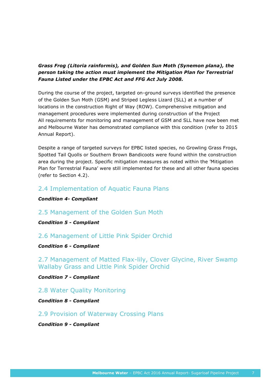#### *Grass Frog (Litoria rainformis), and Golden Sun Moth (Synemon plana), the person taking the action must implement the Mitigation Plan for Terrestrial Fauna Listed under the EPBC Act and FFG Act July 2008.*

During the course of the project, targeted on-ground surveys identified the presence of the Golden Sun Moth (GSM) and Striped Legless Lizard (SLL) at a number of locations in the construction Right of Way (ROW). Comprehensive mitigation and management procedures were implemented during construction of the Project All requirements for monitoring and management of GSM and SLL have now been met and Melbourne Water has demonstrated compliance with this condition (refer to 2015 Annual Report).

Despite a range of targeted surveys for EPBC listed species, no Growling Grass Frogs, Spotted Tail Quolls or Southern Brown Bandicoots were found within the construction area during the project. Specific mitigation measures as noted within the 'Mitigation Plan for Terrestrial Fauna' were still implemented for these and all other fauna species (refer to Section 4.2).

#### 2.4 Implementation of Aquatic Fauna Plans

*Condition 4- Compliant*

#### 2.5 Management of the Golden Sun Moth

*Condition 5 - Compliant*

#### 2.6 Management of Little Pink Spider Orchid

#### *Condition 6 - Compliant*

2.7 Management of Matted Flax-lily, Clover Glycine, River Swamp Wallaby Grass and Little Pink Spider Orchid

*Condition 7 - Compliant*

#### 2.8 Water Quality Monitoring

*Condition 8 - Compliant* 

#### 2.9 Provision of Waterway Crossing Plans

*Condition 9 - Compliant*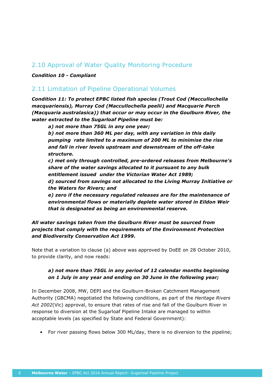#### 2.10 Approval of Water Quality Monitoring Procedure

#### *Condition 10 - Compliant*

#### 2.11 Limitation of Pipeline Operational Volumes

*Condition 11: To protect EPBC listed fish species (Trout Cod (Maccullochella macquariensis), Murray Cod (Maccullochella peelii) and Macquarie Perch (Macquaria australasica)) that occur or may occur in the Goulburn River, the water extracted to the Sugarloaf Pipeline must be:* 

*a) not more than 75GL in any one year;* 

*b) not more than 360 ML per day, with any variation in this daily pumping rate limited to a maximum of 200 ML to minimise the rise and fall in river levels upstream and downstream of the off-take structure.* 

*c) met only through controlled, pre-ordered releases from Melbourne's share of the water savings allocated to it pursuant to any bulk entitlement issued under the Victorian Water Act 1989;*

*d) sourced from savings not allocated to the Living Murray Initiative or the Waters for Rivers; and*

*e) zero if the necessary regulated releases are for the maintenance of environmental flows or materially deplete water stored in Eildon Weir that is designated as being an environmental reserve.* 

#### *All water savings taken from the Goulburn River must be sourced from projects that comply with the requirements of the Environment Protection and Biodiversity Conservation Act 1999.*

Note that a variation to clause (a) above was approved by DoEE on 28 October 2010, to provide clarity, and now reads:

#### *a) not more than 75GL in any period of 12 calendar months beginning on 1 July in any year and ending on 30 June in the following year;*

In December 2008, MW, DEPI and the Goulburn-Broken Catchment Management Authority (GBCMA) negotiated the following conditions, as part of the *Heritage Rivers Act 2002*(Vic) approval, to ensure that rates of rise and fall of the Goulburn River in response to diversion at the Sugarloaf Pipeline Intake are managed to within acceptable levels (as specified by State and Federal Government):

• For river passing flows below 300 ML/day, there is no diversion to the pipeline;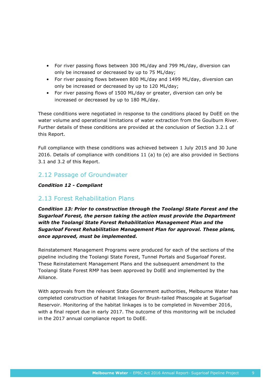- For river passing flows between 300 ML/day and 799 ML/day, diversion can only be increased or decreased by up to 75 ML/day;
- For river passing flows between 800 ML/day and 1499 ML/day, diversion can only be increased or decreased by up to 120 ML/day;
- For river passing flows of 1500 ML/day or greater, diversion can only be increased or decreased by up to 180 ML/day.

These conditions were negotiated in response to the conditions placed by DoEE on the water volume and operational limitations of water extraction from the Goulburn River. Further details of these conditions are provided at the conclusion of Section 3.2.1 of this Report.

Full compliance with these conditions was achieved between 1 July 2015 and 30 June 2016. Details of compliance with conditions 11 (a) to (e) are also provided in Sections 3.1 and 3.2 of this Report.

#### 2.12 Passage of Groundwater

#### *Condition 12 - Compliant*

#### 2.13 Forest Rehabilitation Plans

*Condition 13: Prior to construction through the Toolangi State Forest and the Sugarloaf Forest, the person taking the action must provide the Department with the Toolangi State Forest Rehabilitation Management Plan and the Sugarloaf Forest Rehabilitation Management Plan for approval. These plans, once approved, must be implemented.* 

Reinstatement Management Programs were produced for each of the sections of the pipeline including the Toolangi State Forest, Tunnel Portals and Sugarloaf Forest. These Reinstatement Management Plans and the subsequent amendment to the Toolangi State Forest RMP has been approved by DoEE and implemented by the Alliance.

With approvals from the relevant State Government authorities, Melbourne Water has completed construction of habitat linkages for Brush-tailed Phascogale at Sugarloaf Reservoir. Monitoring of the habitat linkages is to be completed in November 2016, with a final report due in early 2017. The outcome of this monitoring will be included in the 2017 annual compliance report to DoEE.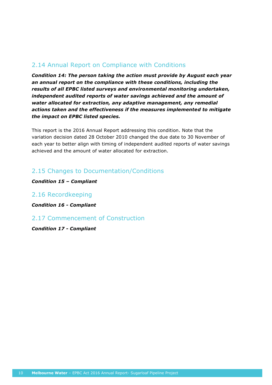#### 2.14 Annual Report on Compliance with Conditions

*Condition 14: The person taking the action must provide by August each year an annual report on the compliance with these conditions, including the results of all EPBC listed surveys and environmental monitoring undertaken, independent audited reports of water savings achieved and the amount of water allocated for extraction, any adaptive management, any remedial actions taken and the effectiveness if the measures implemented to mitigate the impact on EPBC listed species.* 

This report is the 2016 Annual Report addressing this condition. Note that the variation decision dated 28 October 2010 changed the due date to 30 November of each year to better align with timing of independent audited reports of water savings achieved and the amount of water allocated for extraction.

#### 2.15 Changes to Documentation/Conditions

*Condition 15 – Compliant*

2.16 Recordkeeping

*Condition 16 - Compliant*

2.17 Commencement of Construction

*Condition 17 - Compliant*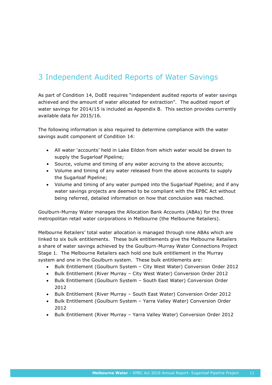## 3 Independent Audited Reports of Water Savings

As part of Condition 14, DoEE requires "independent audited reports of water savings achieved and the amount of water allocated for extraction". The audited report of water savings for 2014/15 is included as Appendix B. This section provides currently available data for 2015/16.

The following information is also required to determine compliance with the water savings audit component of Condition 14:

- All water 'accounts' held in Lake Eildon from which water would be drawn to supply the Sugarloaf Pipeline;
- Source, volume and timing of any water accruing to the above accounts;
- Volume and timing of any water released from the above accounts to supply the Sugarloaf Pipeline;
- Volume and timing of any water pumped into the Sugarloaf Pipeline; and if any water savings projects are deemed to be compliant with the EPBC Act without being referred, detailed information on how that conclusion was reached.

Goulburn-Murray Water manages the Allocation Bank Accounts (ABAs) for the three metropolitan retail water corporations in Melbourne (the Melbourne Retailers).

Melbourne Retailers' total water allocation is managed through nine ABAs which are linked to six bulk entitlements. These bulk entitlements give the Melbourne Retailers a share of water savings achieved by the Goulburn-Murray Water Connections Project Stage 1. The Melbourne Retailers each hold one bulk entitlement in the Murray system and one in the Goulburn system. These bulk entitlements are:

- Bulk Entitlement (Goulburn System City West Water) Conversion Order 2012
- Bulk Entitlement (River Murray City West Water) Conversion Order 2012
- Bulk Entitlement (Goulburn System South East Water) Conversion Order 2012
- Bulk Entitlement (River Murray South East Water) Conversion Order 2012
- Bulk Entitlement (Goulburn System Yarra Valley Water) Conversion Order 2012
- Bulk Entitlement (River Murray Yarra Valley Water) Conversion Order 2012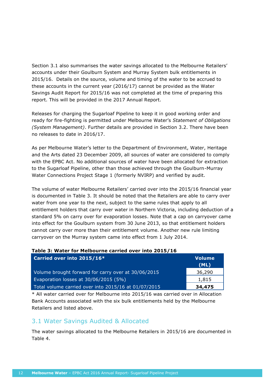Section 3.1 also summarises the water savings allocated to the Melbourne Retailers' accounts under their Goulburn System and Murray System bulk entitlements in 2015/16. Details on the source, volume and timing of the water to be accrued to these accounts in the current year (2016/17) cannot be provided as the Water Savings Audit Report for 2015/16 was not completed at the time of preparing this report. This will be provided in the 2017 Annual Report.

Releases for charging the Sugarloaf Pipeline to keep it in good working order and ready for fire-fighting is permitted under Melbourne Water's *Statement of Obligations (System Management)*. Further details are provided in Section 3.2. There have been no releases to date in 2016/17.

As per Melbourne Water's letter to the Department of Environment, Water, Heritage and the Arts dated 23 December 2009, all sources of water are considered to comply with the EPBC Act. No additional sources of water have been allocated for extraction to the Sugarloaf Pipeline, other than those achieved through the Goulburn-Murray Water Connections Project Stage 1 (formerly NVIRP) and verified by audit.

The volume of water Melbourne Retailers' carried over into the 2015/16 financial year is documented in Table 3. It should be noted that the Retailers are able to carry over water from one year to the next, subject to the same rules that apply to all entitlement holders that carry over water in Northern Victoria, including deduction of a standard 5% on carry over for evaporation losses. Note that a cap on carryover came into effect for the Goulburn system from 30 June 2013, so that entitlement holders cannot carry over more than their entitlement volume. Another new rule limiting carryover on the Murray system came into effect from 1 July 2014.

|  |  | Table 3: Water for Melbourne carried over into 2015/16 |  |  |  |
|--|--|--------------------------------------------------------|--|--|--|
|  |  |                                                        |  |  |  |

| Carried over into 2015/16*                           | <b>Volume</b><br>(ML) |
|------------------------------------------------------|-----------------------|
| Volume brought forward for carry over at 30/06/2015  | 36,290                |
| Evaporation losses at 30/06/2015 (5%)                | 1,815                 |
| Total volume carried over into 2015/16 at 01/07/2015 | 34,475                |

\* All water carried over for Melbourne into 2015/16 was carried over in Allocation Bank Accounts associated with the six bulk entitlements held by the Melbourne Retailers and listed above.

#### 3.1 Water Savings Audited & Allocated

The water savings allocated to the Melbourne Retailers in 2015/16 are documented in Table 4.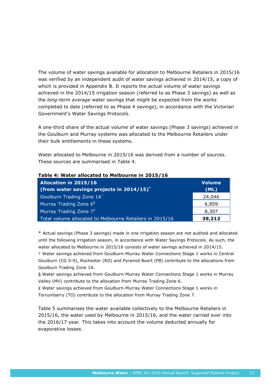The volume of water savings available for allocation to Melbourne Retailers in 2015/16 was verified by an independent audit of water savings achieved in 2014/15, a copy of which is provided in Appendix B. It reports the *actual* volume of water savings achieved in the 2014/15 irrigation season (referred to as Phase 3 savings) as well as the *long-term average* water savings that might be expected from the works completed to date (referred to as Phase 4 savings), in accordance with the Victorian Government's Water Savings Protocols.

A one-third share of the actual volume of water savings (Phase 3 savings) achieved in the Goulburn and Murray systems was allocated to the Melbourne Retailers under their bulk entitlements in these systems.

Water allocated to Melbourne in 2015/16 was derived from a number of sources. These sources are summarised in [Table 4](#page-16-0).

| <b>Allocation in 2015/16</b>                             | <b>Volume</b> |
|----------------------------------------------------------|---------------|
| (from water savings projects in $2014/15$ )*             | (ML)          |
| Goulburn Trading Zone 1A <sup>+</sup>                    | 24,046        |
| Murray Trading Zone 6 <sup>§</sup>                       | 6,859         |
| Murray Trading Zone $7^{E}$                              | 8,307         |
| Total volume allocated to Melbourne Retailers in 2015/16 | 39,212        |

#### <span id="page-16-0"></span>**Table 4: Water allocated to Melbourne in 2015/16**

\* Actual savings (Phase 3 savings) made in one irrigation season are not audited and allocated until the following irrigation season, in accordance with Water Savings Protocols. As such, the water allocated to Melbourne in 2015/16 consists of water savings achieved in 2014/15.

† Water savings achieved from Goulburn-Murray Water Connections Stage 1 works in Central Goulburn (CG 5-9), Rochester (RO) and Pyramid Boort (PB) contribute to the allocations from Goulburn Trading Zone 1A.

§ Water savings achieved from Goulburn-Murray Water Connections Stage 1 works in Murray Valley (MV) contribute to the allocation from Murray Trading Zone 6.

£ Water savings achieved from Goulburn-Murray Water Connections Stage 1 works in Torrumbarry (TO) contribute to the allocation from Murray Trading Zone 7.

[Table](#page-17-0) 5 summarises the water available collectively to the Melbourne Retailers in 2015/16, the water used by Melbourne in 2015/16, and the water carried over into the 2016/17 year. This takes into account the volume deducted annually for evaporative losses.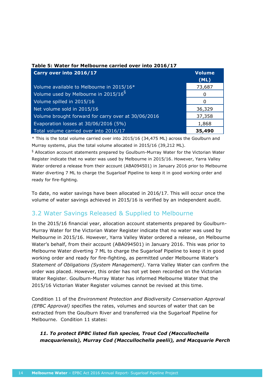| Carry over into 2016/17                             | <b>Volume</b><br>(ML) |
|-----------------------------------------------------|-----------------------|
| Volume available to Melbourne in 2015/16*           | 73,687                |
| Volume used by Melbourne in 2015/16 <sup>§</sup>    | 0                     |
| Volume spilled in 2015/16                           | n                     |
| Net volume sold in 2015/16                          | 36,329                |
| Volume brought forward for carry over at 30/06/2016 | 37,358                |
| Evaporation losses at 30/06/2016 (5%)               | 1,868                 |
| Total volume carried over into 2016/17              | 35,490                |

#### <span id="page-17-0"></span>**Table 5: Water for Melbourne carried over into 2016/17**

\* This is the total volume carried over into 2015/16 (34,475 ML) across the Goulburn and Murray systems, plus the total volume allocated in 2015/16 (39,212 ML).

§ Allocation account statements prepared by Goulburn-Murray Water for the Victorian Water Register indicate that no water was used by Melbourne in 2015/16. However, Yarra Valley Water ordered a release from their account (ABA094501) in January 2016 prior to Melbourne Water diverting 7 ML to charge the Sugarloaf Pipeline to keep it in good working order and ready for fire-fighting.

To date, no water savings have been allocated in 2016/17. This will occur once the volume of water savings achieved in 2015/16 is verified by an independent audit.

#### 3.2 Water Savings Released & Supplied to Melbourne

In the 2015/16 financial year, allocation account statements prepared by Goulburn-Murray Water for the Victorian Water Register indicate that no water was used by Melbourne in 2015/16. However, Yarra Valley Water ordered a release, on Melbourne Water's behalf, from their account (ABA094501) in January 2016. This was prior to Melbourne Water diverting 7 ML to charge the Sugarloaf Pipeline to keep it in good working order and ready for fire-fighting, as permitted under Melbourne Water's *Statement of Obligations (System Management)*. Yarra Valley Water can confirm the order was placed. However, this order has not yet been recorded on the Victorian Water Register. Goulburn-Murray Water has informed Melbourne Water that the 2015/16 Victorian Water Register volumes cannot be revised at this time.

Condition 11 of the *Environment Protection and Biodiversity Conservation Approval (EPBC Approval)* specifies the rates, volumes and sources of water that can be extracted from the Goulburn River and transferred via the Sugarloaf Pipeline for Melbourne. Condition 11 states:

#### *11. To protect EPBC listed fish species, Trout Cod (Maccullochella macquariensis), Murray Cod (Maccullochella peelii), and Macquarie Perch*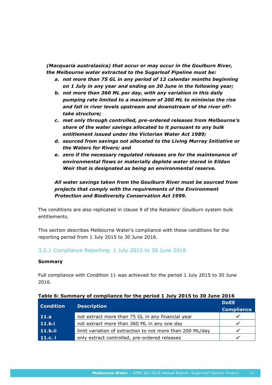*(Macquaria australasica) that occur or may occur in the Goulburn River, the Melbourne water extracted to the Sugarloaf Pipeline must be:*

- *a. not more than 75 GL in any period of 12 calendar months beginning on 1 July in any year and ending on 30 June in the following year;*
- *b. not more than 360 ML per day, with any variation in this daily pumping rate limited to a maximum of 200 ML to minimise the rise and fall in river levels upstream and downstream of the river offtake structure;*
- *c. met only through controlled, pre-ordered releases from Melbourne's share of the water savings allocated to it pursuant to any bulk entitlement issued under the Victorian Water Act 1989;*
- *d. sourced from savings not allocated to the Living Murray Initiative or the Waters for Rivers; and*
- *e. zero if the necessary regulated releases are for the maintenance of environmental flows or materially deplete water stored in Eildon Weir that is designated as being an environmental reserve.*

*All water savings taken from the Goulburn River must be sourced from projects that comply with the requirements of the Environment Protection and Biodiversity Conservation Act 1999.*

The conditions are also replicated in clause 9 of the Retailers' Goulburn system bulk entitlements.

This section describes Melbourne Water's compliance with these conditions for the reporting period from 1 July 2015 to 30 June 2016.

#### 3.2.1 Compliance Reporting: 1 July 2015 to 30 June 2016

#### **Summary**

Full compliance with Condition 11 was achieved for the period 1 July 2015 to 30 June 2016.

| <b>Condition</b> | <b>Description</b>                                        | <b>DoEE</b><br><b>Compliance</b> |
|------------------|-----------------------------------------------------------|----------------------------------|
| 11.a             | not extract more than 75 GL in any financial year         |                                  |
| 11.b.i           | not extract more than 360 ML in any one day               |                                  |
| 11.b.ii          | limit variation of extraction to not more than 200 ML/day |                                  |
| 11.c. i          | only extract controlled, pre-ordered releases             |                                  |

#### **Table 6: Summary of compliance for the period 1 July 2015 to 30 June 2016**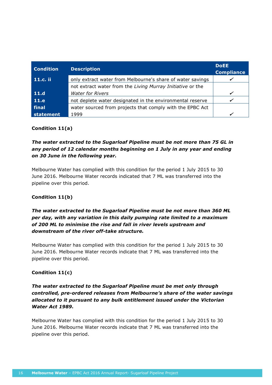| <b>Condition</b> | <b>Description</b>                                         | <b>DoEE</b><br><b>Compliance</b> |
|------------------|------------------------------------------------------------|----------------------------------|
| 11.c. ii         | only extract water from Melbourne's share of water savings |                                  |
|                  | not extract water from the Living Murray Initiative or the |                                  |
| 11.d             | <b>Water for Rivers</b>                                    |                                  |
| 11.e             | not deplete water designated in the environmental reserve  |                                  |
| final            | water sourced from projects that comply with the EPBC Act  |                                  |
| statement        | 1999                                                       |                                  |

#### **Condition 11(a)**

#### *The water extracted to the Sugarloaf Pipeline must be not more than 75 GL in any period of 12 calendar months beginning on 1 July in any year and ending on 30 June in the following year.*

Melbourne Water has complied with this condition for the period 1 July 2015 to 30 June 2016. Melbourne Water records indicated that 7 ML was transferred into the pipeline over this period.

#### **Condition 11(b)**

#### *The water extracted to the Sugarloaf Pipeline must be not more than 360 ML per day, with any variation in this daily pumping rate limited to a maximum of 200 ML to minimise the rise and fall in river levels upstream and downstream of the river off-take structure.*

Melbourne Water has complied with this condition for the period 1 July 2015 to 30 June 2016. Melbourne Water records indicate that 7 ML was transferred into the pipeline over this period.

#### **Condition 11(c)**

#### *The water extracted to the Sugarloaf Pipeline must be met only through controlled, pre-ordered releases from Melbourne's share of the water savings allocated to it pursuant to any bulk entitlement issued under the Victorian Water Act 1989.*

Melbourne Water has complied with this condition for the period 1 July 2015 to 30 June 2016. Melbourne Water records indicate that 7 ML was transferred into the pipeline over this period.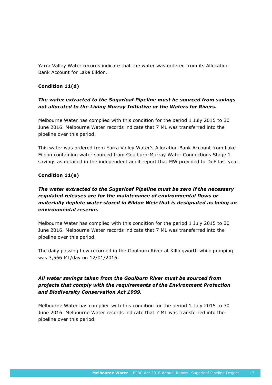Yarra Valley Water records indicate that the water was ordered from its Allocation Bank Account for Lake Eildon.

#### **Condition 11(d)**

#### *The water extracted to the Sugarloaf Pipeline must be sourced from savings not allocated to the Living Murray Initiative or the Waters for Rivers.*

Melbourne Water has complied with this condition for the period 1 July 2015 to 30 June 2016. Melbourne Water records indicate that 7 ML was transferred into the pipeline over this period.

This water was ordered from Yarra Valley Water's Allocation Bank Account from Lake Eildon containing water sourced from Goulburn-Murray Water Connections Stage 1 savings as detailed in the independent audit report that MW provided to DoE last year.

#### **Condition 11(e)**

#### *The water extracted to the Sugarloaf Pipeline must be zero if the necessary regulated releases are for the maintenance of environmental flows or materially deplete water stored in Eildon Weir that is designated as being an environmental reserve.*

Melbourne Water has complied with this condition for the period 1 July 2015 to 30 June 2016. Melbourne Water records indicate that 7 ML was transferred into the pipeline over this period.

The daily passing flow recorded in the Goulburn River at Killingworth while pumping was 3,566 ML/day on 12/01/2016.

#### *All water savings taken from the Goulburn River must be sourced from projects that comply with the requirements of the Environment Protection and Biodiversity Conservation Act 1999.*

Melbourne Water has complied with this condition for the period 1 July 2015 to 30 June 2016. Melbourne Water records indicate that 7 ML was transferred into the pipeline over this period.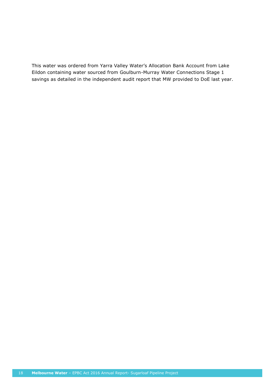This water was ordered from Yarra Valley Water's Allocation Bank Account from Lake Eildon containing water sourced from Goulburn-Murray Water Connections Stage 1 savings as detailed in the independent audit report that MW provided to DoE last year.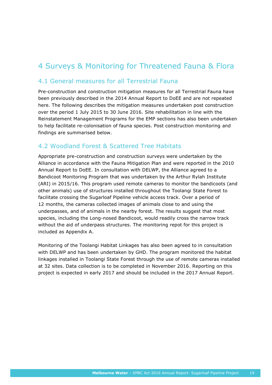## 4 Surveys & Monitoring for Threatened Fauna & Flora

#### 4.1 General measures for all Terrestrial Fauna

Pre-construction and construction mitigation measures for all Terrestrial Fauna have been previously described in the 2014 Annual Report to DoEE and are not repeated here. The following describes the mitigation measures undertaken post construction over the period 1 July 2015 to 30 June 2016. Site rehabilitation in line with the Reinstatement Management Programs for the EMP sections has also been undertaken to help facilitate re-colonisation of fauna species. Post construction monitoring and findings are summarised below.

#### 4.2 Woodland Forest & Scattered Tree Habitats

Appropriate pre-construction and construction surveys were undertaken by the Alliance in accordance with the Fauna Mitigation Plan and were reported in the 2010 Annual Report to DoEE. In consultation with DELWP, the Alliance agreed to a Bandicoot Monitoring Program that was undertaken by the Arthur Rylah Institute (ARI) in 2015/16. This program used remote cameras to monitor the bandicoots (and other animals) use of structures installed throughout the Toolangi State Forest to facilitate crossing the Sugarloaf Pipeline vehicle access track. Over a period of 12 months, the cameras collected images of animals close to and using the underpasses, and of animals in the nearby forest. The results suggest that most species, including the Long-nosed Bandicoot, would readily cross the narrow track without the aid of underpass structures. The monitoring repot for this project is included as Appendix A.

Monitoring of the Toolangi Habitat Linkages has also been agreed to in consultation with DELWP and has been undertaken by GHD. The program monitored the habitat linkages installed in Toolangi State Forest through the use of remote cameras installed at 32 sites. Data collection is to be completed in November 2016. Reporting on this project is expected in early 2017 and should be included in the 2017 Annual Report.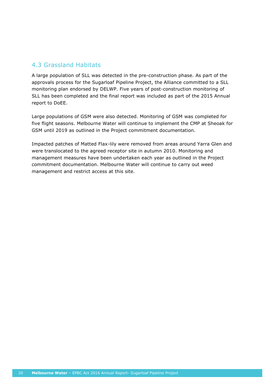#### 4.3 Grassland Habitats

A large population of SLL was detected in the pre-construction phase. As part of the approvals process for the Sugarloaf Pipeline Project, the Alliance committed to a SLL monitoring plan endorsed by DELWP. Five years of post-construction monitoring of SLL has been completed and the final report was included as part of the 2015 Annual report to DoEE.

Large populations of GSM were also detected. Monitoring of GSM was completed for five flight seasons. Melbourne Water will continue to implement the CMP at Sheoak for GSM until 2019 as outlined in the Project commitment documentation.

Impacted patches of Matted Flax-lily were removed from areas around Yarra Glen and were translocated to the agreed receptor site in autumn 2010. Monitoring and management measures have been undertaken each year as outlined in the Project commitment documentation. Melbourne Water will continue to carry out weed management and restrict access at this site.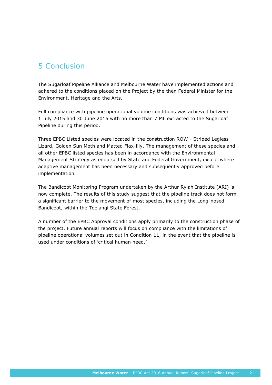## 5 Conclusion

The Sugarloaf Pipeline Alliance and Melbourne Water have implemented actions and adhered to the conditions placed on the Project by the then Federal Minister for the Environment, Heritage and the Arts.

Full compliance with pipeline operational volume conditions was achieved between 1 July 2015 and 30 June 2016 with no more than 7 ML extracted to the Sugarloaf Pipeline during this period.

Three EPBC Listed species were located in the construction ROW - Striped Legless Lizard, Golden Sun Moth and Matted Flax-lily. The management of these species and all other EPBC listed species has been in accordance with the Environmental Management Strategy as endorsed by State and Federal Government, except where adaptive management has been necessary and subsequently approved before implementation.

The Bandicoot Monitoring Program undertaken by the Arthur Rylah Institute (ARI) is now complete. The results of this study suggest that the pipeline track does not form a significant barrier to the movement of most species, including the Long-nosed Bandicoot, within the Toolangi State Forest.

A number of the EPBC Approval conditions apply primarily to the construction phase of the project. Future annual reports will focus on compliance with the limitations of pipeline operational volumes set out in Condition 11, in the event that the pipeline is used under conditions of 'critical human need.'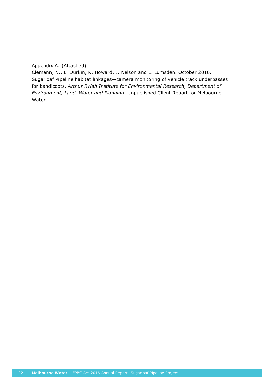#### Appendix A: (Attached)

Clemann, N., L. Durkin, K. Howard, J. Nelson and L. Lumsden. October 2016. Sugarloaf Pipeline habitat linkages—camera monitoring of vehicle track underpasses for bandicoots. *Arthur Rylah Institute for Environmental Research, Department of Environment, Land, Water and Planning*. Unpublished Client Report for Melbourne Water